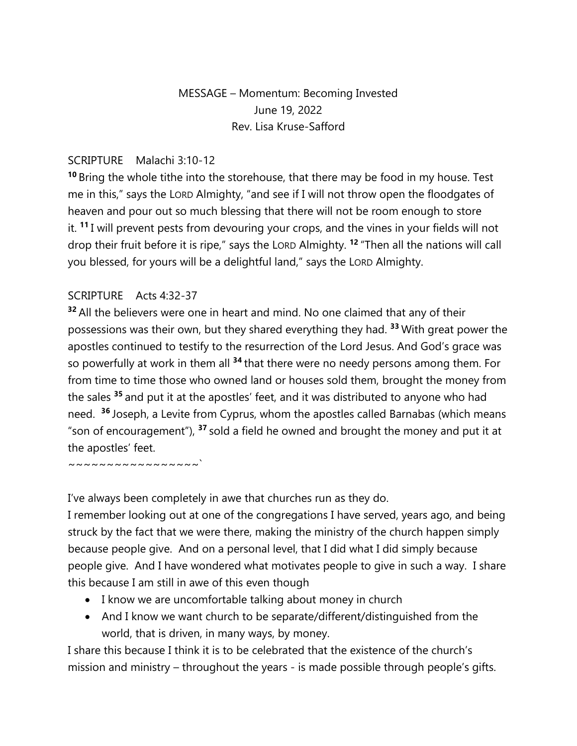# MESSAGE – Momentum: Becoming Invested June 19, 2022 Rev. Lisa Kruse-Safford

#### SCRIPTURE Malachi 3:10-12

**<sup>10</sup>** Bring the whole tithe into the storehouse, that there may be food in my house. Test me in this," says the LORD Almighty, "and see if I will not throw open the floodgates of heaven and pour out so much blessing that there will not be room enough to store it. **<sup>11</sup>** I will prevent pests from devouring your crops, and the vines in your fields will not drop their fruit before it is ripe," says the LORD Almighty. **<sup>12</sup>** "Then all the nations will call you blessed, for yours will be a delightful land," says the LORD Almighty.

#### SCRIPTURE Acts 4:32-37

**<sup>32</sup>** All the believers were one in heart and mind. No one claimed that any of their possessions was their own, but they shared everything they had. **<sup>33</sup>** With great power the apostles continued to testify to the resurrection of the Lord Jesus. And God's grace was so powerfully at work in them all **<sup>34</sup>** that there were no needy persons among them. For from time to time those who owned land or houses sold them, brought the money from the sales **<sup>35</sup>** and put it at the apostles' feet, and it was distributed to anyone who had need. **<sup>36</sup>** Joseph, a Levite from Cyprus, whom the apostles called Barnabas (which means "son of encouragement"), **<sup>37</sup>** sold a field he owned and brought the money and put it at the apostles' feet.

~~~~~~~~~~~~~~~<sup>`</sup>

I've always been completely in awe that churches run as they do.

I remember looking out at one of the congregations I have served, years ago, and being struck by the fact that we were there, making the ministry of the church happen simply because people give. And on a personal level, that I did what I did simply because people give. And I have wondered what motivates people to give in such a way. I share this because I am still in awe of this even though

- I know we are uncomfortable talking about money in church
- And I know we want church to be separate/different/distinguished from the world, that is driven, in many ways, by money.

I share this because I think it is to be celebrated that the existence of the church's mission and ministry – throughout the years - is made possible through people's gifts.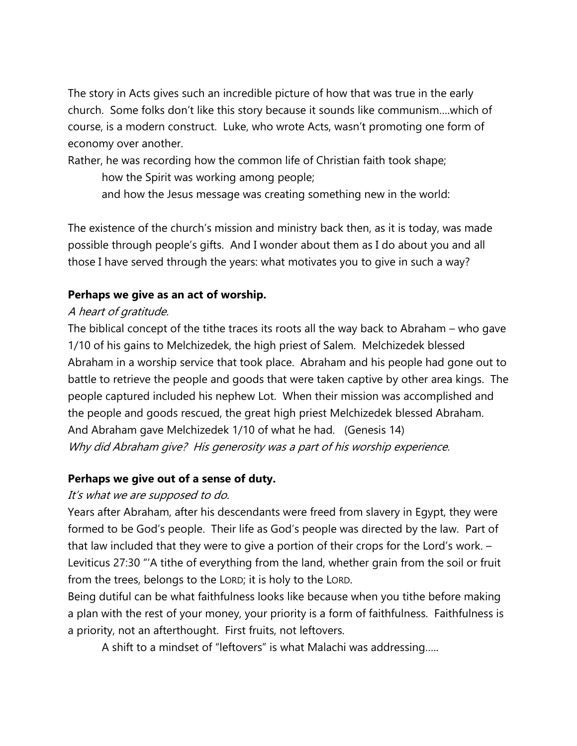The story in Acts gives such an incredible picture of how that was true in the early church. Some folks don't like this story because it sounds like communism….which of course, is a modern construct. Luke, who wrote Acts, wasn't promoting one form of economy over another.

Rather, he was recording how the common life of Christian faith took shape;

how the Spirit was working among people;

and how the Jesus message was creating something new in the world:

The existence of the church's mission and ministry back then, as it is today, was made possible through people's gifts. And I wonder about them as I do about you and all those I have served through the years: what motivates you to give in such a way?

## **Perhaps we give as an act of worship.**

## A heart of gratitude.

The biblical concept of the tithe traces its roots all the way back to Abraham – who gave 1/10 of his gains to Melchizedek, the high priest of Salem. Melchizedek blessed Abraham in a worship service that took place. Abraham and his people had gone out to battle to retrieve the people and goods that were taken captive by other area kings. The people captured included his nephew Lot. When their mission was accomplished and the people and goods rescued, the great high priest Melchizedek blessed Abraham. And Abraham gave Melchizedek 1/10 of what he had. (Genesis 14) Why did Abraham give? His generosity was a part of his worship experience.

## **Perhaps we give out of a sense of duty.**

## It's what we are supposed to do.

Years after Abraham, after his descendants were freed from slavery in Egypt, they were formed to be God's people. Their life as God's people was directed by the law. Part of that law included that they were to give a portion of their crops for the Lord's work. – Leviticus 27:30 "'A tithe of everything from the land, whether grain from the soil or fruit from the trees, belongs to the LORD; it is holy to the LORD.

Being dutiful can be what faithfulness looks like because when you tithe before making a plan with the rest of your money, your priority is a form of faithfulness. Faithfulness is a priority, not an afterthought. First fruits, not leftovers.

A shift to a mindset of "leftovers" is what Malachi was addressing…..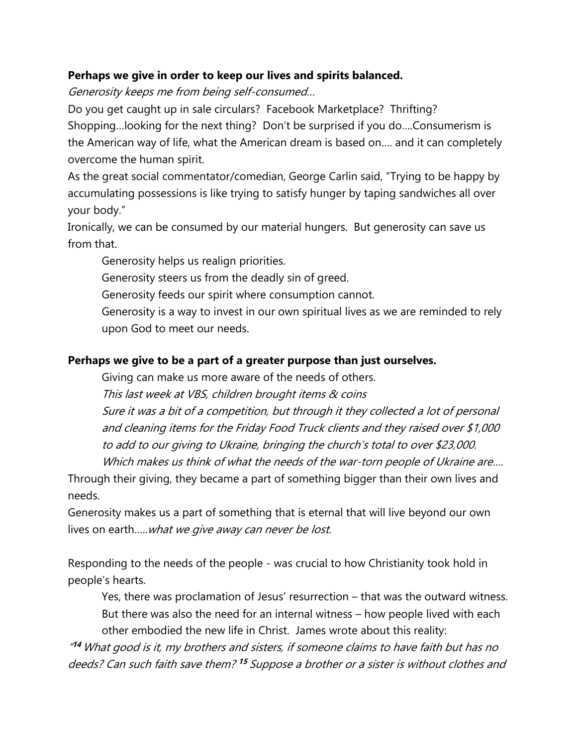#### **Perhaps we give in order to keep our lives and spirits balanced.**

Generosity keeps me from being self-consumed…

Do you get caught up in sale circulars? Facebook Marketplace? Thrifting? Shopping…looking for the next thing? Don't be surprised if you do….Consumerism is the American way of life, what the American dream is based on…. and it can completely overcome the human spirit.

As the great social commentator/comedian, George Carlin said, "Trying to be happy by accumulating possessions is like trying to satisfy hunger by taping sandwiches all over your body."

Ironically, we can be consumed by our material hungers. But generosity can save us from that.

Generosity helps us realign priorities.

Generosity steers us from the deadly sin of greed.

Generosity feeds our spirit where consumption cannot.

Generosity is a way to invest in our own spiritual lives as we are reminded to rely upon God to meet our needs.

## **Perhaps we give to be a part of a greater purpose than just ourselves.**

Giving can make us more aware of the needs of others.

This last week at VBS, children brought items & coins

Sure it was a bit of a competition, but through it they collected a lot of personal and cleaning items for the Friday Food Truck clients and they raised over \$1,000 to add to our giving to Ukraine, bringing the church's total to over \$23,000. Which makes us think of what the needs of the war-torn people of Ukraine are….

Through their giving, they became a part of something bigger than their own lives and needs.

Generosity makes us a part of something that is eternal that will live beyond our own lives on earth.....*what we give away can never be lost.* 

Responding to the needs of the people - was crucial to how Christianity took hold in people's hearts.

Yes, there was proclamation of Jesus' resurrection – that was the outward witness. But there was also the need for an internal witness – how people lived with each other embodied the new life in Christ. James wrote about this reality:

" **<sup>14</sup>** What good is it, my brothers and sisters, if someone claims to have faith but has no deeds? Can such faith save them? **<sup>15</sup>** Suppose a brother or a sister is without clothes and